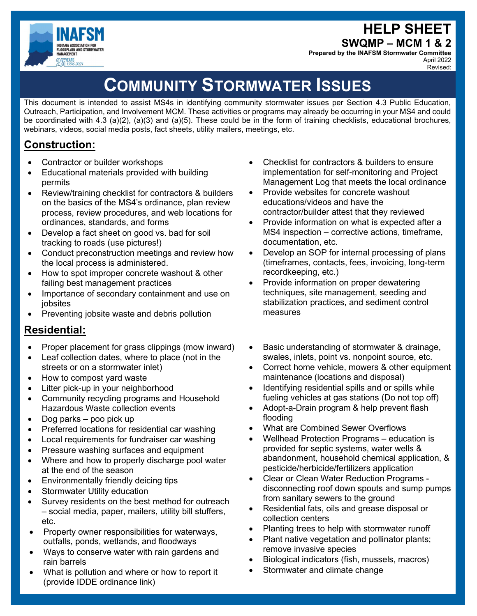HELP SHEET



SWQMP – MCM 1 & 2

Prepared by the INAFSM Stormwater Committee April 2022 Revised:

# COMMUNITY STORMWATER ISSUES

This document is intended to assist MS4s in identifying community stormwater issues per Section 4.3 Public Education, Outreach, Participation, and Involvement MCM. These activities or programs may already be occurring in your MS4 and could be coordinated with 4.3 (a)(2), (a)(3) and (a)(5). These could be in the form of training checklists, educational brochures, webinars, videos, social media posts, fact sheets, utility mailers, meetings, etc.

# Construction:

- Contractor or builder workshops
- Educational materials provided with building permits
- Review/training checklist for contractors & builders on the basics of the MS4's ordinance, plan review process, review procedures, and web locations for ordinances, standards, and forms
- Develop a fact sheet on good vs. bad for soil tracking to roads (use pictures!)
- Conduct preconstruction meetings and review how the local process is administered.
- How to spot improper concrete washout & other failing best management practices
- Importance of secondary containment and use on jobsites
- Preventing jobsite waste and debris pollution

## Residential:

- Proper placement for grass clippings (mow inward)
- Leaf collection dates, where to place (not in the streets or on a stormwater inlet)
- How to compost yard waste
- Litter pick-up in your neighborhood
- Community recycling programs and Household Hazardous Waste collection events
- Dog parks poo pick up
- Preferred locations for residential car washing
- Local requirements for fundraiser car washing
- Pressure washing surfaces and equipment
- Where and how to properly discharge pool water at the end of the season
- Environmentally friendly deicing tips
- Stormwater Utility education
- Survey residents on the best method for outreach – social media, paper, mailers, utility bill stuffers, etc.
- Property owner responsibilities for waterways, outfalls, ponds, wetlands, and floodways
- Ways to conserve water with rain gardens and rain barrels
- What is pollution and where or how to report it (provide IDDE ordinance link)
- Checklist for contractors & builders to ensure implementation for self-monitoring and Project Management Log that meets the local ordinance
- Provide websites for concrete washout educations/videos and have the contractor/builder attest that they reviewed
- Provide information on what is expected after a MS4 inspection – corrective actions, timeframe, documentation, etc.
- Develop an SOP for internal processing of plans (timeframes, contacts, fees, invoicing, long-term recordkeeping, etc.)
- Provide information on proper dewatering techniques, site management, seeding and stabilization practices, and sediment control measures
- Basic understanding of stormwater & drainage, swales, inlets, point vs. nonpoint source, etc.
- Correct home vehicle, mowers & other equipment maintenance (locations and disposal)
- Identifying residential spills and or spills while fueling vehicles at gas stations (Do not top off)
- Adopt-a-Drain program & help prevent flash flooding
- What are Combined Sewer Overflows
- Wellhead Protection Programs education is provided for septic systems, water wells & abandonment, household chemical application, & pesticide/herbicide/fertilizers application
- Clear or Clean Water Reduction Programs disconnecting roof down spouts and sump pumps from sanitary sewers to the ground
- Residential fats, oils and grease disposal or collection centers
- Planting trees to help with stormwater runoff
- Plant native vegetation and pollinator plants; remove invasive species
- Biological indicators (fish, mussels, macros)
- Stormwater and climate change